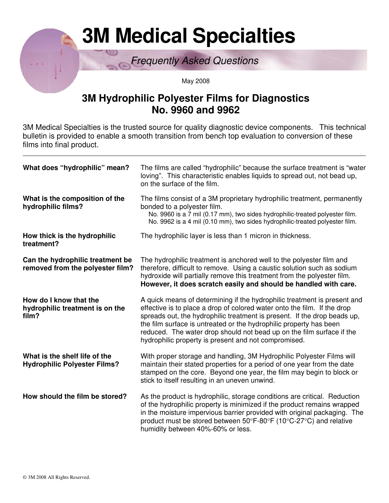# **3M Medical Specialties**

Frequently Asked Questions

May 2008

## **3M Hydrophilic Polyester Films for Diagnostics No. 9960 and 9962**

3M Medical Specialties is the trusted source for quality diagnostic device components. This technical bulletin is provided to enable a smooth transition from bench top evaluation to conversion of these films into final product.

| What does "hydrophilic" mean?                                        | The films are called "hydrophilic" because the surface treatment is "water<br>loving". This characteristic enables liquids to spread out, not bead up,<br>on the surface of the film.                                                                                                                                                                                                                                                   |  |  |
|----------------------------------------------------------------------|-----------------------------------------------------------------------------------------------------------------------------------------------------------------------------------------------------------------------------------------------------------------------------------------------------------------------------------------------------------------------------------------------------------------------------------------|--|--|
| What is the composition of the<br>hydrophilic films?                 | The films consist of a 3M proprietary hydrophilic treatment, permanently<br>bonded to a polyester film.<br>No. 9960 is a 7 mil (0.17 mm), two sides hydrophilic-treated polyester film.<br>No. 9962 is a 4 mil (0.10 mm), two sides hydrophilic-treated polyester film.                                                                                                                                                                 |  |  |
| How thick is the hydrophilic<br>treatment?                           | The hydrophilic layer is less than 1 micron in thickness.                                                                                                                                                                                                                                                                                                                                                                               |  |  |
| Can the hydrophilic treatment be<br>removed from the polyester film? | The hydrophilic treatment is anchored well to the polyester film and<br>therefore, difficult to remove. Using a caustic solution such as sodium<br>hydroxide will partially remove this treatment from the polyester film.<br>However, it does scratch easily and should be handled with care.                                                                                                                                          |  |  |
| How do I know that the<br>hydrophilic treatment is on the<br>film?   | A quick means of determining if the hydrophilic treatment is present and<br>effective is to place a drop of colored water onto the film. If the drop<br>spreads out, the hydrophilic treatment is present. If the drop beads up,<br>the film surface is untreated or the hydrophilic property has been<br>reduced. The water drop should not bead up on the film surface if the<br>hydrophilic property is present and not compromised. |  |  |
| What is the shelf life of the<br><b>Hydrophilic Polyester Films?</b> | With proper storage and handling, 3M Hydrophilic Polyester Films will<br>maintain their stated properties for a period of one year from the date<br>stamped on the core. Beyond one year, the film may begin to block or<br>stick to itself resulting in an uneven unwind.                                                                                                                                                              |  |  |
| How should the film be stored?                                       | As the product is hydrophilic, storage conditions are critical. Reduction<br>of the hydrophilic property is minimized if the product remains wrapped<br>in the moisture impervious barrier provided with original packaging. The<br>product must be stored between 50°F-80°F (10°C-27°C) and relative<br>humidity between 40%-60% or less.                                                                                              |  |  |

 $\overline{a}$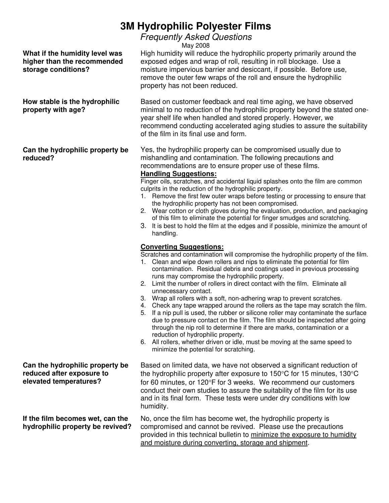## **3M Hydrophilic Polyester Films**

### Frequently Asked Questions

May 2008

**What if the humidity level was higher than the recommended storage conditions?** 

**How stable is the hydrophilic property with age?** 

#### **Can the hydrophilic property be reduced?**

**Can the hydrophilic property be reduced after exposure to elevated temperatures?** 

**If the film becomes wet, can the hydrophilic property be revived?**  High humidity will reduce the hydrophilic property primarily around the exposed edges and wrap of roll, resulting in roll blockage. Use a moisture impervious barrier and desiccant, if possible. Before use, remove the outer few wraps of the roll and ensure the hydrophilic property has not been reduced.

Based on customer feedback and real time aging, we have observed minimal to no reduction of the hydrophilic property beyond the stated oneyear shelf life when handled and stored properly. However, we recommend conducting accelerated aging studies to assure the suitability of the film in its final use and form.

Yes, the hydrophilic property can be compromised usually due to mishandling and contamination. The following precautions and recommendations are to ensure proper use of these films.

#### **Handling Suggestions:**

Finger oils, scratches, and accidental liquid splashes onto the film are common culprits in the reduction of the hydrophilic property.

- 1. Remove the first few outer wraps before testing or processing to ensure that the hydrophilic property has not been compromised.
- 2. Wear cotton or cloth gloves during the evaluation, production, and packaging of this film to eliminate the potential for finger smudges and scratching.
- 3. It is best to hold the film at the edges and if possible, minimize the amount of handling.

#### **Converting Suggestions:**

Scratches and contamination will compromise the hydrophilic property of the film.

- 1. Clean and wipe down rollers and nips to eliminate the potential for film contamination. Residual debris and coatings used in previous processing runs may compromise the hydrophilic property.
- 2. Limit the number of rollers in direct contact with the film. Eliminate all unnecessary contact.
- 3. Wrap all rollers with a soft, non-adhering wrap to prevent scratches.
- 4. Check any tape wrapped around the rollers as the tape may scratch the film.
- 5. If a nip pull is used, the rubber or silicone roller may contaminate the surface due to pressure contact on the film. The film should be inspected after going through the nip roll to determine if there are marks, contamination or a reduction of hydrophilic property.
- 6. All rollers, whether driven or idle, must be moving at the same speed to minimize the potential for scratching.

Based on limited data, we have not observed a significant reduction of the hydrophilic property after exposure to 150°C for 15 minutes, 130°C for 60 minutes, or 120°F for 3 weeks. We recommend our customers conduct their own studies to assure the suitability of the film for its use and in its final form. These tests were under dry conditions with low humidity.

No, once the film has become wet, the hydrophilic property is compromised and cannot be revived. Please use the precautions provided in this technical bulletin to minimize the exposure to humidity and moisture during converting, storage and shipment.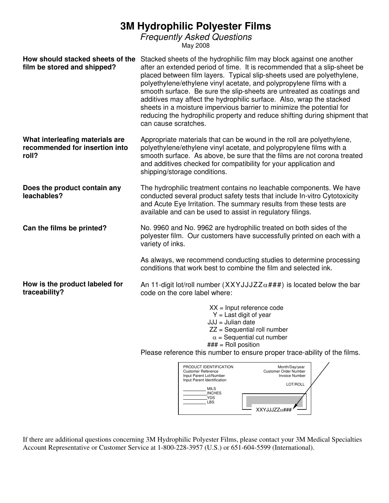## **3M Hydrophilic Polyester Films**

Frequently Asked Questions

May 2008

| How should stacked sheets of the<br>film be stored and shipped?            | Stacked sheets of the hydrophilic film may block against one another<br>after an extended period of time. It is recommended that a slip-sheet be<br>placed between film layers. Typical slip-sheets used are polyethylene,<br>polyethylene/ethylene vinyl acetate, and polypropylene films with a<br>smooth surface. Be sure the slip-sheets are untreated as coatings and<br>additives may affect the hydrophilic surface. Also, wrap the stacked<br>sheets in a moisture impervious barrier to minimize the potential for<br>reducing the hydrophilic property and reduce shifting during shipment that<br>can cause scratches. |  |  |  |
|----------------------------------------------------------------------------|-----------------------------------------------------------------------------------------------------------------------------------------------------------------------------------------------------------------------------------------------------------------------------------------------------------------------------------------------------------------------------------------------------------------------------------------------------------------------------------------------------------------------------------------------------------------------------------------------------------------------------------|--|--|--|
| What interleafing materials are<br>recommended for insertion into<br>roll? | Appropriate materials that can be wound in the roll are polyethylene,<br>polyethylene/ethylene vinyl acetate, and polypropylene films with a<br>smooth surface. As above, be sure that the films are not corona treated<br>and additives checked for compatibility for your application and<br>shipping/storage conditions.                                                                                                                                                                                                                                                                                                       |  |  |  |
| Does the product contain any<br>leachables?                                | The hydrophilic treatment contains no leachable components. We have<br>conducted several product safety tests that include In-vitro Cytotoxicity<br>and Acute Eye Irritation. The summary results from these tests are<br>available and can be used to assist in regulatory filings.                                                                                                                                                                                                                                                                                                                                              |  |  |  |
| Can the films be printed?                                                  | No. 9960 and No. 9962 are hydrophilic treated on both sides of the<br>polyester film. Our customers have successfully printed on each with a<br>variety of inks.<br>As always, we recommend conducting studies to determine processing<br>conditions that work best to combine the film and selected ink.                                                                                                                                                                                                                                                                                                                         |  |  |  |
|                                                                            |                                                                                                                                                                                                                                                                                                                                                                                                                                                                                                                                                                                                                                   |  |  |  |
| How is the product labeled for<br>traceability?                            | An 11-digit lot/roll number $(XXYJJJZZ\alpha\# \# \#)$ is located below the bar<br>code on the core label where:                                                                                                                                                                                                                                                                                                                                                                                                                                                                                                                  |  |  |  |
|                                                                            | $XX =$ Input reference code<br>$Y =$ Last digit of year<br>$JJJ =$ Julian date<br>$ZZ = Sequential$ roll number<br>$\alpha$ = Sequential cut number<br>$\# \# \# =$ Roll position<br>Please reference this number to ensure proper trace-ability of the films.                                                                                                                                                                                                                                                                                                                                                                    |  |  |  |
|                                                                            |                                                                                                                                                                                                                                                                                                                                                                                                                                                                                                                                                                                                                                   |  |  |  |
|                                                                            | PRODUCT IDENTIFICATION<br>Month/Day/year<br><b>Customer Reference</b><br>Customer Order Number<br>Input Parent Lot/Number<br><b>Invoice Number</b><br>Input Parent Identification<br>LOT/ROLL<br><b>MILS</b><br><b>INCHES</b><br><b>YDS</b><br>LBS                                                                                                                                                                                                                                                                                                                                                                                |  |  |  |
|                                                                            | XXYJJJZZα###                                                                                                                                                                                                                                                                                                                                                                                                                                                                                                                                                                                                                      |  |  |  |

If there are additional questions concerning 3M Hydrophilic Polyester Films, please contact your 3M Medical Specialties Account Representative or Customer Service at 1-800-228-3957 (U.S.) or 651-604-5599 (International).